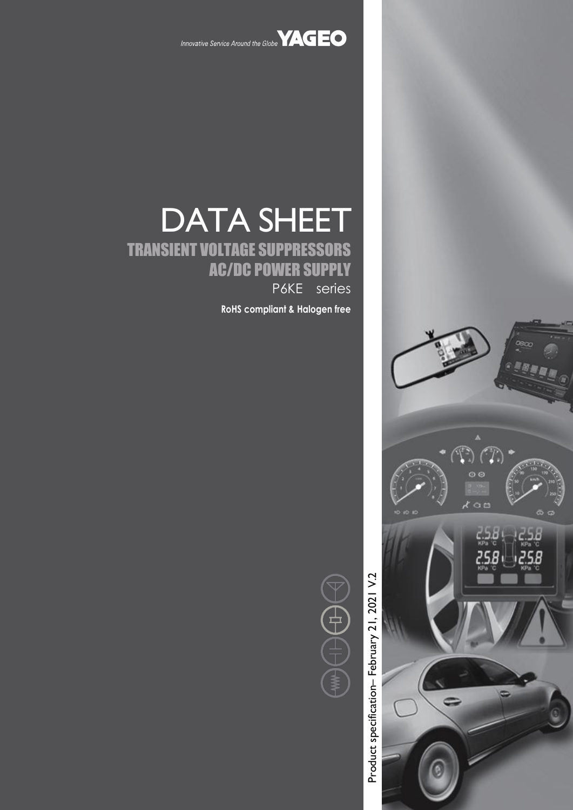

Innovative Service Around the Globe **YAGEO** 

# DATA SHEET TRANSIENT VOLTAGE SUPPRESSORS AC/DC POWER SUPPLY P6KE series

**RoHS compliant & Halogen free**



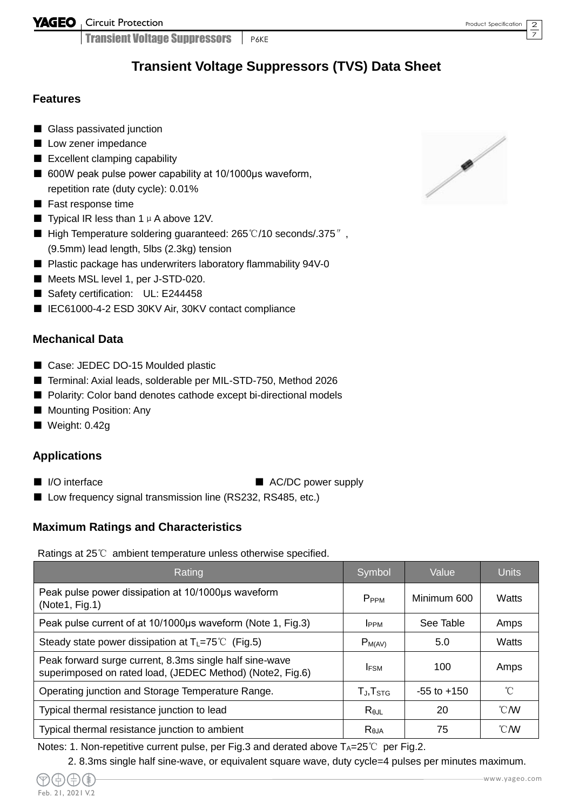YAGEO Circuit Protection

**Transient Voltage Suppressors P6KE** 

### **Transient Voltage Suppressors (TVS) Data Sheet**

#### **Features**

- Glass passivated junction
- Low zener impedance
- Excellent clamping capability
- 600W peak pulse power capability at 10/1000us waveform, repetition rate (duty cycle): 0.01%
- Fast response time
- **Typical IR less than 1**  $\mu$  **A above 12V.**
- High Temperature soldering guaranteed: 265 °C/10 seconds/.375″, (9.5mm) lead length, 5lbs (2.3kg) tension
- Plastic package has underwriters laboratory flammability 94V-0
- Meets MSL level 1, per J-STD-020.
- Safety certification: UL: E244458
- IEC61000-4-2 ESD 30KV Air, 30KV contact compliance

#### **Mechanical Data**

- Case: JEDEC DO-15 Moulded plastic
- Terminal: Axial leads, solderable per MIL-STD-750, Method 2026
- Polarity: Color band denotes cathode except bi-directional models
- Mounting Position: Any
- Weight: 0.42g

#### **Applications**

- 
- I/O interface AC/DC power supply
- Low frequency signal transmission line (RS232, RS485, etc.)

#### **Maximum Ratings and Characteristics**

Ratings at 25℃ ambient temperature unless otherwise specified.

| Rating                                                                                                               | Symbol              | Value           | <b>Units</b>   |
|----------------------------------------------------------------------------------------------------------------------|---------------------|-----------------|----------------|
| Peak pulse power dissipation at 10/1000µs waveform<br>(Note1, Fig.1)                                                 | P <sub>PPM</sub>    | Minimum 600     | Watts          |
| Peak pulse current of at 10/1000µs waveform (Note 1, Fig.3)                                                          | <b>I</b> PPM        | See Table       | Amps           |
| Steady state power dissipation at $T_L = 75^{\circ}C$ (Fig.5)                                                        | $P_{M(AV)}$         | 5.0             | Watts          |
| Peak forward surge current, 8.3ms single half sine-wave<br>superimposed on rated load, (JEDEC Method) (Note2, Fig.6) | <b>IFSM</b>         | 100             | Amps           |
| Operating junction and Storage Temperature Range.                                                                    | $T_{J}$ , $T_{STG}$ | $-55$ to $+150$ | $^{\circ}$ C   |
| Typical thermal resistance junction to lead                                                                          | $R_{\theta$ JL      | 20              | $^{\circ}$ CMV |
| Typical thermal resistance junction to ambient                                                                       | $R_{\theta$ JA      | 75              | $^{\circ}$ CMV |

Notes: 1. Non-repetitive current pulse, per Fig.3 and derated above  $T_A=25^{\circ}C$  per Fig.2.

2. 8.3ms single half sine-wave, or equivalent square wave, duty cycle=4 pulses per minutes maximum.



2 7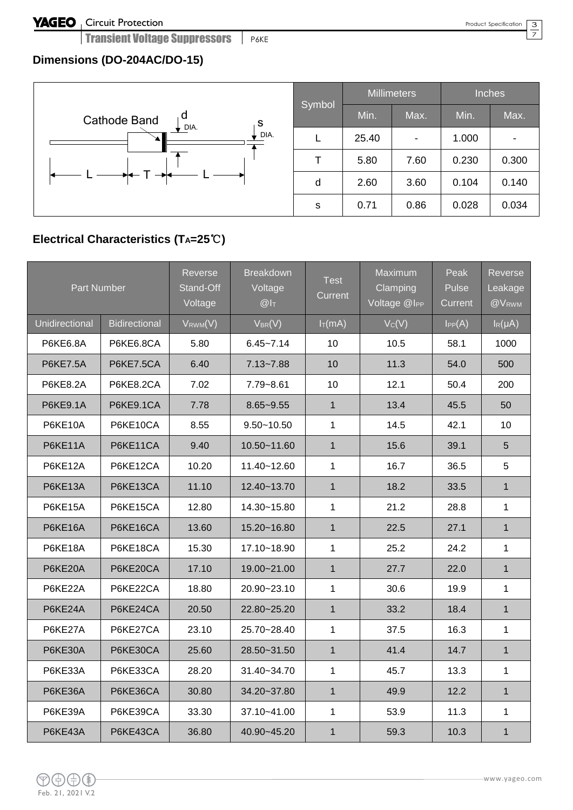Transient Voltage Suppressors Frake

#### $\overline{3}$  $\overline{\phantom{0}}$

### **Dimensions (DO-204AC/DO-15)**



| Symbol |       | <b>Millimeters</b> | <b>Inches</b> |       |  |
|--------|-------|--------------------|---------------|-------|--|
|        | Min.  | Max.               | Min.          | Max.  |  |
|        | 25.40 |                    | 1.000         |       |  |
|        | 5.80  | 7.60               | 0.230         | 0.300 |  |
|        | 2.60  | 3.60               | 0.104         | 0.140 |  |
| s      | 0.71  | 0.86               | 0.028         | 0.034 |  |

### **Electrical Characteristics (TA=25**℃**)**

| <b>Part Number</b> |                      | Reverse<br>Stand-Off<br>Voltage | <b>Breakdown</b><br>Voltage<br>$@I_{T}$ | <b>Test</b><br>Current | Maximum<br>Clamping<br>Voltage @I <sub>PP</sub> | Peak<br>Pulse<br>Current | Reverse<br>Leakage<br>@V <sub>RWM</sub> |
|--------------------|----------------------|---------------------------------|-----------------------------------------|------------------------|-------------------------------------------------|--------------------------|-----------------------------------------|
| Unidirectional     | <b>Bidirectional</b> | $V_{RWM}(V)$                    | $V_{BR}(V)$                             | $I_T(mA)$              | Vc(V)                                           | IPP(A)                   | $I_R(\mu A)$                            |
| P6KE6.8A           | P6KE6.8CA            | 5.80                            | $6.45 - 7.14$                           | 10                     | 10.5                                            | 58.1                     | 1000                                    |
| <b>P6KE7.5A</b>    | <b>P6KE7.5CA</b>     | 6.40                            | $7.13 - 7.88$                           | 10                     | 11.3                                            | 54.0                     | 500                                     |
| P6KE8.2A           | <b>P6KE8.2CA</b>     | 7.02                            | 7.79~8.61                               | 10                     | 12.1                                            | 50.4                     | 200                                     |
| <b>P6KE9.1A</b>    | <b>P6KE9.1CA</b>     | 7.78                            | $8.65 - 9.55$                           | $\mathbf{1}$           | 13.4                                            | 45.5                     | 50                                      |
| P6KE10A            | P6KE10CA             | 8.55                            | $9.50 - 10.50$                          | 1                      | 14.5                                            | 42.1                     | 10                                      |
| P6KE11A            | P6KE11CA             | 9.40                            | 10.50~11.60                             | $\mathbf{1}$           | 15.6                                            | 39.1                     | 5                                       |
| P6KE12A            | P6KE12CA             | 10.20                           | 11.40~12.60                             | $\mathbf{1}$           | 16.7                                            | 36.5                     | 5                                       |
| P6KE13A            | P6KE13CA             | 11.10                           | 12.40~13.70                             | $\mathbf{1}$           | 18.2                                            | 33.5                     | $\mathbf{1}$                            |
| P6KE15A            | P6KE15CA             | 12.80                           | 14.30~15.80                             | $\mathbf{1}$           | 21.2                                            | 28.8                     | $\mathbf{1}$                            |
| P6KE16A            | P6KE16CA             | 13.60                           | 15.20~16.80                             | $\mathbf{1}$           | 22.5                                            | 27.1                     | $\mathbf{1}$                            |
| P6KE18A            | P6KE18CA             | 15.30                           | 17.10~18.90                             | $\mathbf{1}$           | 25.2                                            | 24.2                     | $\mathbf 1$                             |
| P6KE20A            | P6KE20CA             | 17.10                           | 19.00~21.00                             | $\mathbf{1}$           | 27.7                                            | 22.0                     | $\mathbf{1}$                            |
| P6KE22A            | P6KE22CA             | 18.80                           | 20.90~23.10                             | $\mathbf{1}$           | 30.6                                            | 19.9                     | $\mathbf{1}$                            |
| P6KE24A            | P6KE24CA             | 20.50                           | 22.80~25.20                             | $\mathbf{1}$           | 33.2                                            | 18.4                     | $\mathbf{1}$                            |
| P6KE27A            | P6KE27CA             | 23.10                           | 25.70~28.40                             | $\mathbf{1}$           | 37.5                                            | 16.3                     | $\mathbf 1$                             |
| P6KE30A            | P6KE30CA             | 25.60                           | 28.50~31.50                             | $\mathbf{1}$           | 41.4                                            | 14.7                     | $\mathbf{1}$                            |
| P6KE33A            | P6KE33CA             | 28.20                           | 31.40~34.70                             | 1                      | 45.7                                            | 13.3                     | 1                                       |
| P6KE36A            | P6KE36CA             | 30.80                           | 34.20~37.80                             | $\mathbf{1}$           | 49.9                                            | 12.2                     | $\mathbf{1}$                            |
| P6KE39A            | P6KE39CA             | 33.30                           | 37.10~41.00                             | $\mathbf{1}$           | 53.9                                            | 11.3                     | $\mathbf{1}$                            |
| P6KE43A            | P6KE43CA             | 36.80                           | 40.90~45.20                             | $\mathbf{1}$           | 59.3                                            | 10.3                     | $\mathbf{1}$                            |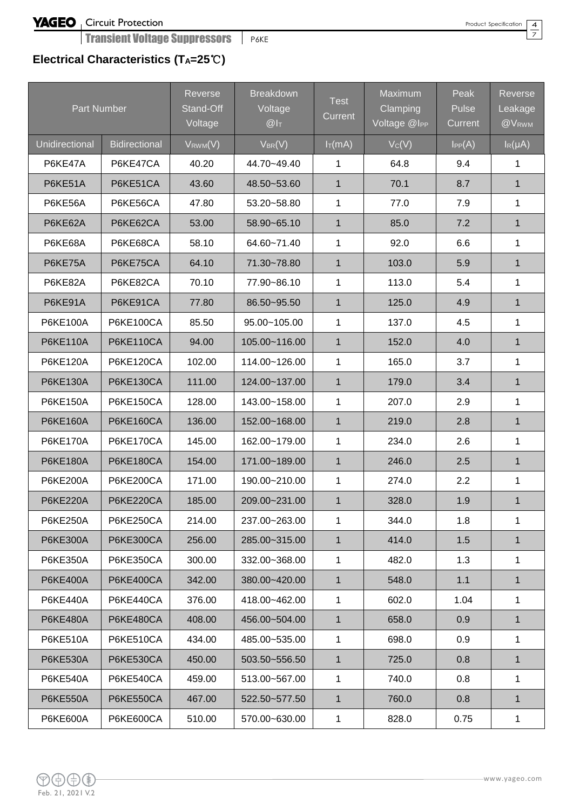Transient Voltage Suppressors | P6KE

### **Electrical Characteristics (TA=25**℃**)**

| <b>Part Number</b>    |                      | Reverse<br>Stand-Off<br>Voltage | <b>Breakdown</b><br>Voltage<br>@I <sub>T</sub> | <b>Test</b><br>Current | Maximum<br>Clamping<br>Voltage @IPP | Peak<br>Pulse<br>Current | <b>Reverse</b><br>Leakage<br>@VRWM |
|-----------------------|----------------------|---------------------------------|------------------------------------------------|------------------------|-------------------------------------|--------------------------|------------------------------------|
| <b>Unidirectional</b> | <b>Bidirectional</b> | $V_{RWM}(V)$                    | $V_{BR}(V)$                                    | $I_T(mA)$              | $V_C(V)$                            | $I_{PP}(A)$              | $I_R(\mu A)$                       |
| P6KE47A               | P6KE47CA             | 40.20                           | 44.70~49.40                                    | 1                      | 64.8                                | 9.4                      | $\mathbf{1}$                       |
| P6KE51A               | P6KE51CA             | 43.60                           | 48.50~53.60                                    | $\mathbf{1}$           | 70.1                                | 8.7                      | $\mathbf{1}$                       |
| P6KE56A               | P6KE56CA             | 47.80                           | 53.20~58.80                                    | 1                      | 77.0                                | 7.9                      | 1                                  |
| P6KE62A               | P6KE62CA             | 53.00                           | 58.90~65.10                                    | $\mathbf{1}$           | 85.0                                | 7.2                      | $\mathbf{1}$                       |
| P6KE68A               | P6KE68CA             | 58.10                           | 64.60~71.40                                    | 1                      | 92.0                                | 6.6                      | 1                                  |
| P6KE75A               | P6KE75CA             | 64.10                           | 71.30~78.80                                    | $\mathbf{1}$           | 103.0                               | 5.9                      | $\mathbf{1}$                       |
| P6KE82A               | P6KE82CA             | 70.10                           | 77.90~86.10                                    | 1                      | 113.0                               | 5.4                      | 1                                  |
| P6KE91A               | P6KE91CA             | 77.80                           | 86.50~95.50                                    | $\mathbf{1}$           | 125.0                               | 4.9                      | $\mathbf{1}$                       |
| P6KE100A              | <b>P6KE100CA</b>     | 85.50                           | 95.00~105.00                                   | $\mathbf{1}$           | 137.0                               | 4.5                      | $\mathbf{1}$                       |
| <b>P6KE110A</b>       | <b>P6KE110CA</b>     | 94.00                           | 105.00~116.00                                  | $\mathbf{1}$           | 152.0                               | 4.0                      | $\mathbf{1}$                       |
| <b>P6KE120A</b>       | <b>P6KE120CA</b>     | 102.00                          | 114.00~126.00                                  | 1                      | 165.0                               | 3.7                      | 1                                  |
| <b>P6KE130A</b>       | <b>P6KE130CA</b>     | 111.00                          | 124.00~137.00                                  | $\mathbf{1}$           | 179.0                               | 3.4                      | $\mathbf{1}$                       |
| P6KE150A              | P6KE150CA            | 128.00                          | 143.00~158.00                                  | 1                      | 207.0                               | 2.9                      | $\mathbf{1}$                       |
| <b>P6KE160A</b>       | <b>P6KE160CA</b>     | 136.00                          | 152.00~168.00                                  | $\mathbf{1}$           | 219.0                               | 2.8                      | $\mathbf{1}$                       |
| <b>P6KE170A</b>       | <b>P6KE170CA</b>     | 145.00                          | 162.00~179.00                                  | 1                      | 234.0                               | 2.6                      | 1                                  |
| <b>P6KE180A</b>       | <b>P6KE180CA</b>     | 154.00                          | 171.00~189.00                                  | 1                      | 246.0                               | 2.5                      | $\mathbf{1}$                       |
| <b>P6KE200A</b>       | <b>P6KE200CA</b>     | 171.00                          | 190.00~210.00                                  | 1                      | 274.0                               | 2.2                      | $\mathbf 1$                        |
| <b>P6KE220A</b>       | <b>P6KE220CA</b>     | 185.00                          | 209.00~231.00                                  | $\mathbf{1}$           | 328.0                               | 1.9                      | $\mathbf 1$                        |
| P6KE250A              | P6KE250CA            | 214.00                          | 237.00~263.00                                  | 1                      | 344.0                               | 1.8                      | 1                                  |
| <b>P6KE300A</b>       | P6KE300CA            | 256.00                          | 285.00~315.00                                  | $\mathbf{1}$           | 414.0                               | 1.5                      | $\mathbf{1}$                       |
| P6KE350A              | P6KE350CA            | 300.00                          | 332.00~368.00                                  | 1                      | 482.0                               | 1.3                      | 1                                  |
| <b>P6KE400A</b>       | P6KE400CA            | 342.00                          | 380.00~420.00                                  | 1                      | 548.0                               | 1.1                      | $\mathbf{1}$                       |
| <b>P6KE440A</b>       | P6KE440CA            | 376.00                          | 418.00~462.00                                  | 1                      | 602.0                               | 1.04                     | 1                                  |
| <b>P6KE480A</b>       | P6KE480CA            | 408.00                          | 456.00~504.00                                  | $\mathbf{1}$           | 658.0                               | 0.9                      | $\mathbf{1}$                       |
| P6KE510A              | P6KE510CA            | 434.00                          | 485.00~535.00                                  | $\mathbf{1}$           | 698.0                               | 0.9                      | $\mathbf{1}$                       |
| <b>P6KE530A</b>       | P6KE530CA            | 450.00                          | 503.50~556.50                                  | 1                      | 725.0                               | 0.8                      | 1                                  |
| <b>P6KE540A</b>       | P6KE540CA            | 459.00                          | 513.00~567.00                                  | $\mathbf{1}$           | 740.0                               | 0.8                      | $\mathbf{1}$                       |
| <b>P6KE550A</b>       | P6KE550CA            | 467.00                          | 522.50~577.50                                  | $\mathbf{1}$           | 760.0                               | 0.8                      | $\mathbf{1}$                       |
| P6KE600A              | P6KE600CA            | 510.00                          | 570.00~630.00                                  | $\mathbf{1}$           | 828.0                               | 0.75                     | $\mathbf 1$                        |

4  $\bar{z}$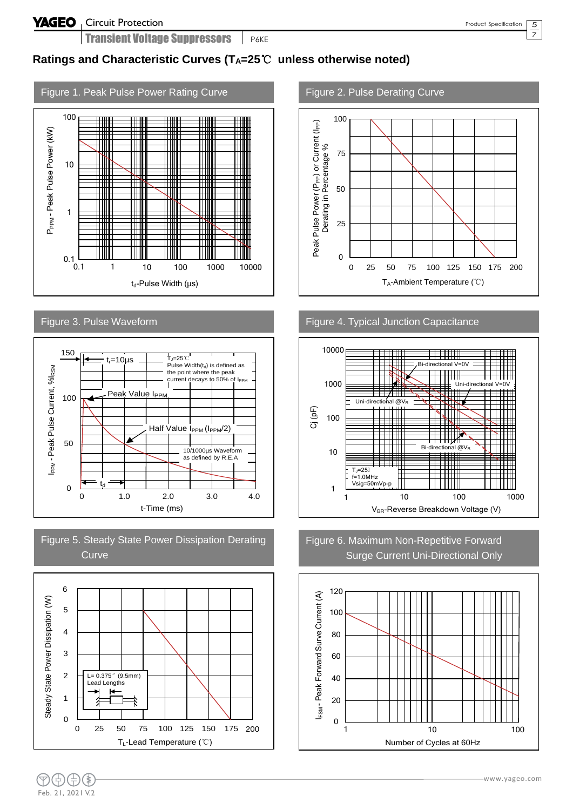5 7

### **Ratings and Characteristic Curves (TA=25**℃ **unless otherwise noted)**











#### Figure 2. Pulse Derating Curve



Figure 4. Typical Junction Capacitance



Figure 6. Maximum Non-Repetitive Forward Surge Current Uni-Directional Only

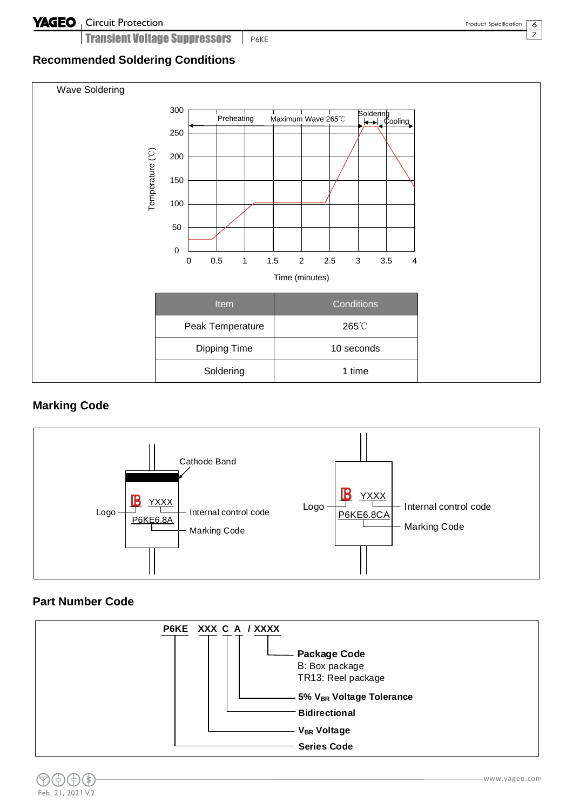#### **YAGEO** Circuit Protection

Transient Voltage Suppressors **P6KE** 

 $\frac{6}{1}$  $\overline{7}$ 

### **Recommended Soldering Conditions**



#### **Marking Code**



#### **Part Number Code**

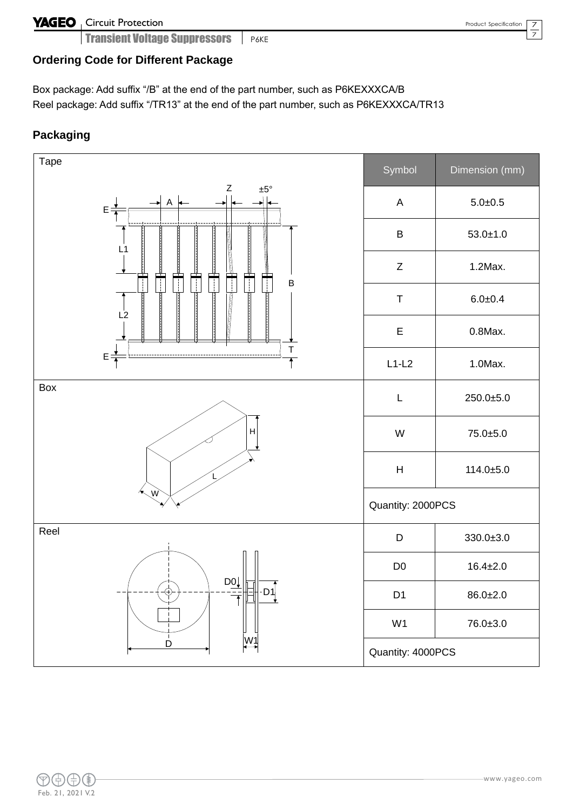### **YAGEO** Circuit Protection

**Transient Voltage Suppressors P6KE** 

7  $\overline{\phantom{0}}$ 

### **Ordering Code for Different Package**

Box package: Add suffix "/B" at the end of the part number, such as P6KEXXXCA/B Reel package: Add suffix "/TR13" at the end of the part number, such as P6KEXXXCA/TR13

### **Packaging**